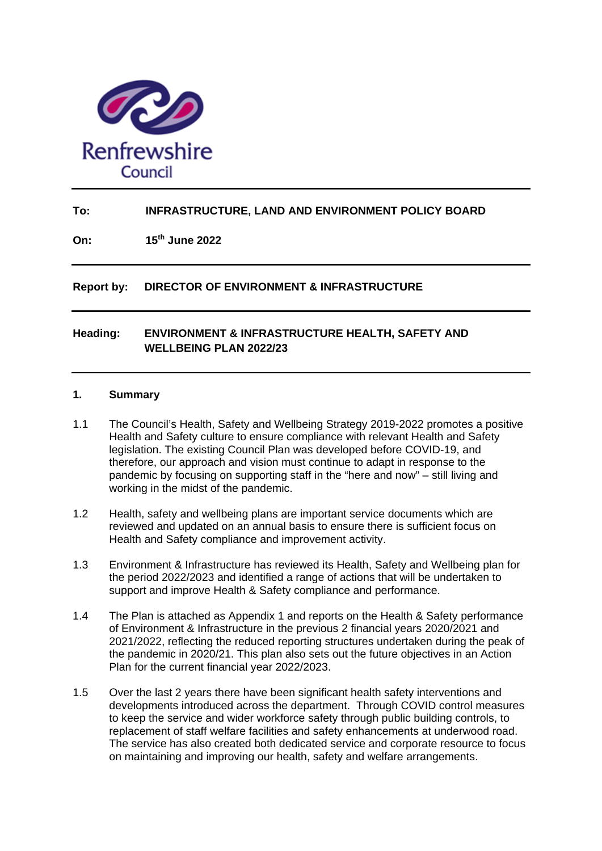

# **To: INFRASTRUCTURE, LAND AND ENVIRONMENT POLICY BOARD**

**On: 15th June 2022**

**Report by: DIRECTOR OF ENVIRONMENT & INFRASTRUCTURE**

# **Heading: ENVIRONMENT & INFRASTRUCTURE HEALTH, SAFETY AND WELLBEING PLAN 2022/23**

# **1. Summary**

- 1.1 The Council's Health, Safety and Wellbeing Strategy 2019-2022 promotes a positive Health and Safety culture to ensure compliance with relevant Health and Safety legislation. The existing Council Plan was developed before COVID-19, and therefore, our approach and vision must continue to adapt in response to the pandemic by focusing on supporting staff in the "here and now" – still living and working in the midst of the pandemic.
- 1.2 Health, safety and wellbeing plans are important service documents which are reviewed and updated on an annual basis to ensure there is sufficient focus on Health and Safety compliance and improvement activity.
- 1.3 Environment & Infrastructure has reviewed its Health, Safety and Wellbeing plan for the period 2022/2023 and identified a range of actions that will be undertaken to support and improve Health & Safety compliance and performance.
- 1.4 The Plan is attached as Appendix 1 and reports on the Health & Safety performance of Environment & Infrastructure in the previous 2 financial years 2020/2021 and 2021/2022, reflecting the reduced reporting structures undertaken during the peak of the pandemic in 2020/21. This plan also sets out the future objectives in an Action Plan for the current financial year 2022/2023.
- 1.5 Over the last 2 years there have been significant health safety interventions and developments introduced across the department. Through COVID control measures to keep the service and wider workforce safety through public building controls, to replacement of staff welfare facilities and safety enhancements at underwood road. The service has also created both dedicated service and corporate resource to focus on maintaining and improving our health, safety and welfare arrangements.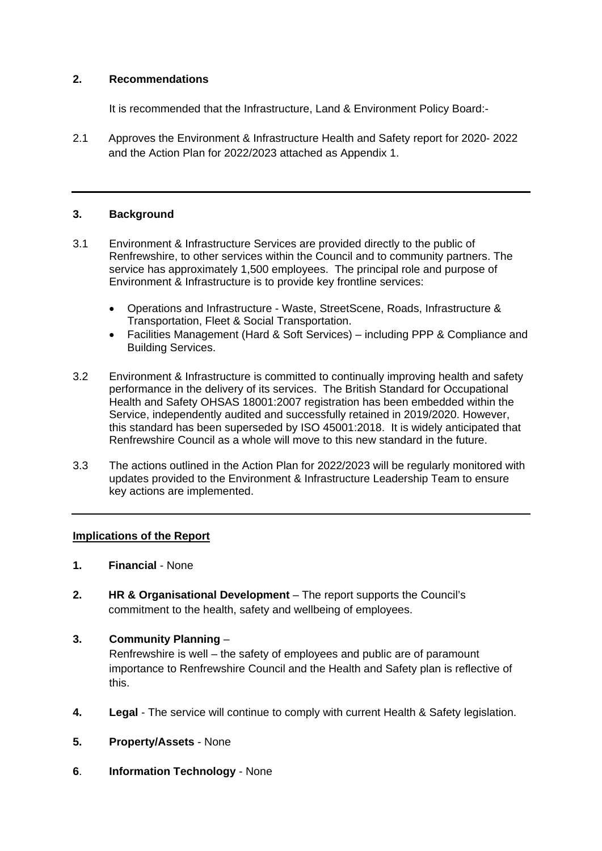# **2. Recommendations**

It is recommended that the Infrastructure, Land & Environment Policy Board:-

2.1 Approves the Environment & Infrastructure Health and Safety report for 2020- 2022 and the Action Plan for 2022/2023 attached as Appendix 1.

# **3. Background**

- 3.1 Environment & Infrastructure Services are provided directly to the public of Renfrewshire, to other services within the Council and to community partners. The service has approximately 1,500 employees. The principal role and purpose of Environment & Infrastructure is to provide key frontline services:
	- Operations and Infrastructure Waste, StreetScene, Roads, Infrastructure & Transportation, Fleet & Social Transportation.
	- Facilities Management (Hard & Soft Services) including PPP & Compliance and Building Services.
- 3.2 Environment & Infrastructure is committed to continually improving health and safety performance in the delivery of its services. The British Standard for Occupational Health and Safety OHSAS 18001:2007 registration has been embedded within the Service, independently audited and successfully retained in 2019/2020. However, this standard has been superseded by ISO 45001:2018. It is widely anticipated that Renfrewshire Council as a whole will move to this new standard in the future.
- 3.3 The actions outlined in the Action Plan for 2022/2023 will be regularly monitored with updates provided to the Environment & Infrastructure Leadership Team to ensure key actions are implemented.

# **Implications of the Report**

- **1. Financial** None
- **2. HR & Organisational Development** The report supports the Council's commitment to the health, safety and wellbeing of employees.

# **3. Community Planning** –

Renfrewshire is well – the safety of employees and public are of paramount importance to Renfrewshire Council and the Health and Safety plan is reflective of this.

- **4. Legal** The service will continue to comply with current Health & Safety legislation.
- **5. Property/Assets** None
- **6**. **Information Technology** None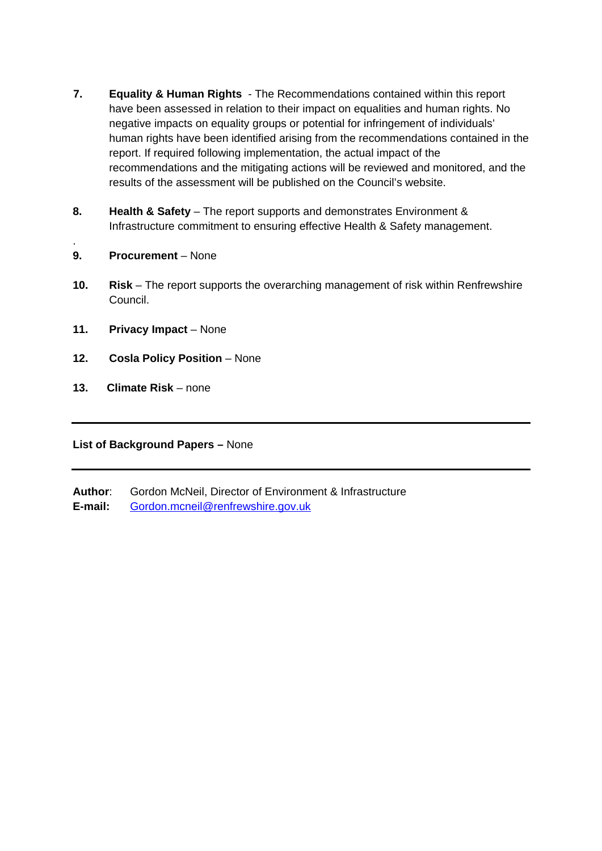- **7. Equality & Human Rights** The Recommendations contained within this report have been assessed in relation to their impact on equalities and human rights. No negative impacts on equality groups or potential for infringement of individuals' human rights have been identified arising from the recommendations contained in the report. If required following implementation, the actual impact of the recommendations and the mitigating actions will be reviewed and monitored, and the results of the assessment will be published on the Council's website.
- **8. Health & Safety** The report supports and demonstrates Environment & Infrastructure commitment to ensuring effective Health & Safety management.
- **9. Procurement** None

.

- **10. Risk** The report supports the overarching management of risk within Renfrewshire Council.
- **11. Privacy Impact** None
- **12. Cosla Policy Position** None
- **13. Climate Risk**  none

**List of Background Papers –** None

**Author**: Gordon McNeil, Director of Environment & Infrastructure

**E-mail:** Gordon.mcneil@renfrewshire.gov.uk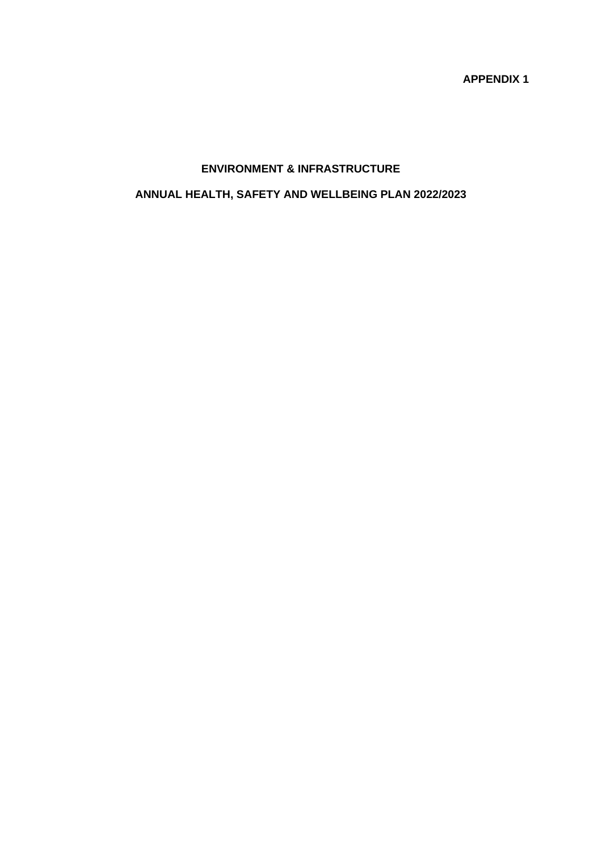**APPENDIX 1**

# **ENVIRONMENT & INFRASTRUCTURE**

# **ANNUAL HEALTH, SAFETY AND WELLBEING PLAN 2022/2023**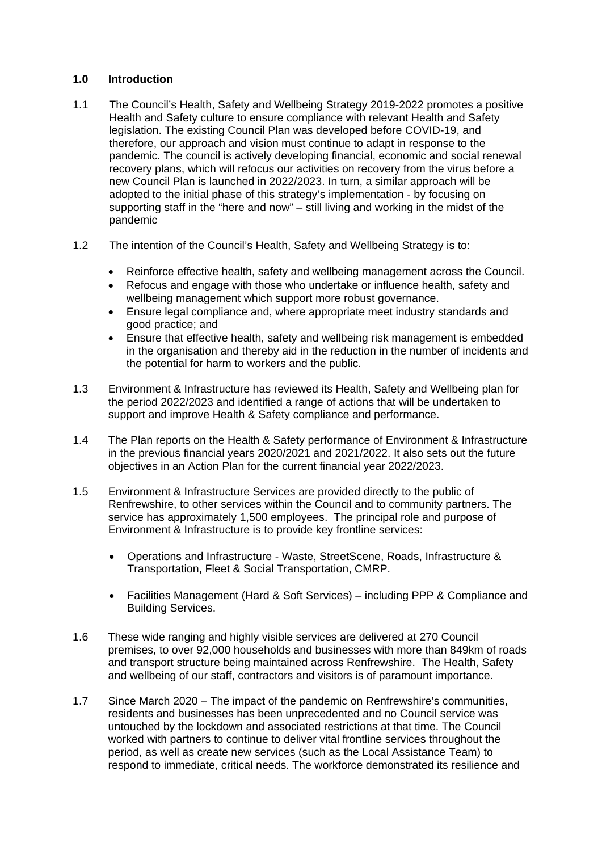## **1.0 Introduction**

- 1.1 The Council's Health, Safety and Wellbeing Strategy 2019-2022 promotes a positive Health and Safety culture to ensure compliance with relevant Health and Safety legislation. The existing Council Plan was developed before COVID-19, and therefore, our approach and vision must continue to adapt in response to the pandemic. The council is actively developing financial, economic and social renewal recovery plans, which will refocus our activities on recovery from the virus before a new Council Plan is launched in 2022/2023. In turn, a similar approach will be adopted to the initial phase of this strategy's implementation - by focusing on supporting staff in the "here and now" – still living and working in the midst of the pandemic
- 1.2 The intention of the Council's Health, Safety and Wellbeing Strategy is to:
	- Reinforce effective health, safety and wellbeing management across the Council.
	- Refocus and engage with those who undertake or influence health, safety and wellbeing management which support more robust governance.
	- Ensure legal compliance and, where appropriate meet industry standards and good practice; and
	- Ensure that effective health, safety and wellbeing risk management is embedded in the organisation and thereby aid in the reduction in the number of incidents and the potential for harm to workers and the public.
- 1.3 Environment & Infrastructure has reviewed its Health, Safety and Wellbeing plan for the period 2022/2023 and identified a range of actions that will be undertaken to support and improve Health & Safety compliance and performance.
- 1.4 The Plan reports on the Health & Safety performance of Environment & Infrastructure in the previous financial years 2020/2021 and 2021/2022. It also sets out the future objectives in an Action Plan for the current financial year 2022/2023.
- 1.5 Environment & Infrastructure Services are provided directly to the public of Renfrewshire, to other services within the Council and to community partners. The service has approximately 1,500 employees. The principal role and purpose of Environment & Infrastructure is to provide key frontline services:
	- Operations and Infrastructure Waste, StreetScene, Roads, Infrastructure & Transportation, Fleet & Social Transportation, CMRP.
	- Facilities Management (Hard & Soft Services) including PPP & Compliance and Building Services.
- 1.6 These wide ranging and highly visible services are delivered at 270 Council premises, to over 92,000 households and businesses with more than 849km of roads and transport structure being maintained across Renfrewshire. The Health, Safety and wellbeing of our staff, contractors and visitors is of paramount importance.
- 1.7 Since March 2020 The impact of the pandemic on Renfrewshire's communities, residents and businesses has been unprecedented and no Council service was untouched by the lockdown and associated restrictions at that time. The Council worked with partners to continue to deliver vital frontline services throughout the period, as well as create new services (such as the Local Assistance Team) to respond to immediate, critical needs. The workforce demonstrated its resilience and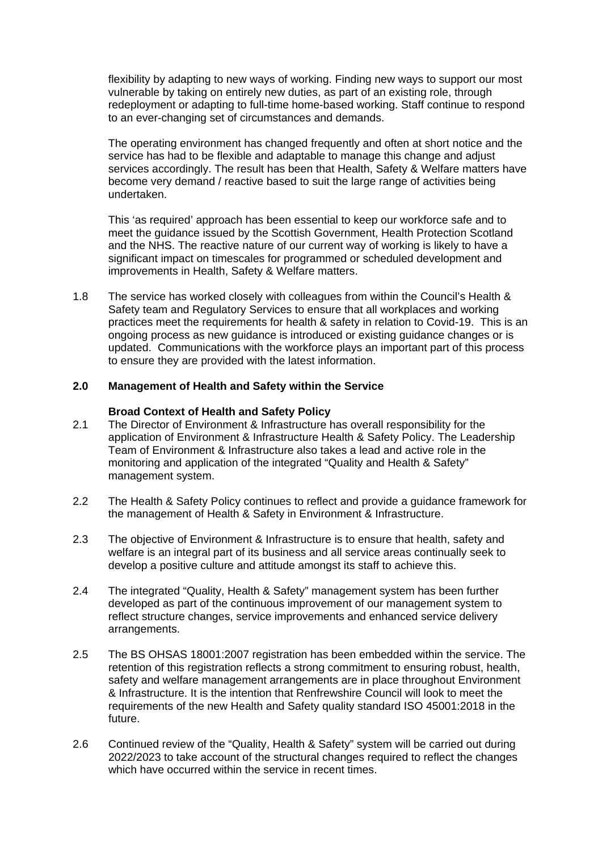flexibility by adapting to new ways of working. Finding new ways to support our most vulnerable by taking on entirely new duties, as part of an existing role, through redeployment or adapting to full-time home-based working. Staff continue to respond to an ever-changing set of circumstances and demands.

The operating environment has changed frequently and often at short notice and the service has had to be flexible and adaptable to manage this change and adjust services accordingly. The result has been that Health, Safety & Welfare matters have become very demand / reactive based to suit the large range of activities being undertaken.

This 'as required' approach has been essential to keep our workforce safe and to meet the guidance issued by the Scottish Government, Health Protection Scotland and the NHS. The reactive nature of our current way of working is likely to have a significant impact on timescales for programmed or scheduled development and improvements in Health, Safety & Welfare matters.

1.8 The service has worked closely with colleagues from within the Council's Health & Safety team and Regulatory Services to ensure that all workplaces and working practices meet the requirements for health & safety in relation to Covid-19. This is an ongoing process as new guidance is introduced or existing guidance changes or is updated. Communications with the workforce plays an important part of this process to ensure they are provided with the latest information.

#### **2.0 Management of Health and Safety within the Service**

#### **Broad Context of Health and Safety Policy**

- 2.1 The Director of Environment & Infrastructure has overall responsibility for the application of Environment & Infrastructure Health & Safety Policy. The Leadership Team of Environment & Infrastructure also takes a lead and active role in the monitoring and application of the integrated "Quality and Health & Safety" management system.
- 2.2 The Health & Safety Policy continues to reflect and provide a guidance framework for the management of Health & Safety in Environment & Infrastructure.
- 2.3 The objective of Environment & Infrastructure is to ensure that health, safety and welfare is an integral part of its business and all service areas continually seek to develop a positive culture and attitude amongst its staff to achieve this.
- 2.4 The integrated "Quality, Health & Safety" management system has been further developed as part of the continuous improvement of our management system to reflect structure changes, service improvements and enhanced service delivery arrangements.
- 2.5 The BS OHSAS 18001:2007 registration has been embedded within the service. The retention of this registration reflects a strong commitment to ensuring robust, health, safety and welfare management arrangements are in place throughout Environment & Infrastructure. It is the intention that Renfrewshire Council will look to meet the requirements of the new Health and Safety quality standard ISO 45001:2018 in the future.
- 2.6 Continued review of the "Quality, Health & Safety" system will be carried out during 2022/2023 to take account of the structural changes required to reflect the changes which have occurred within the service in recent times.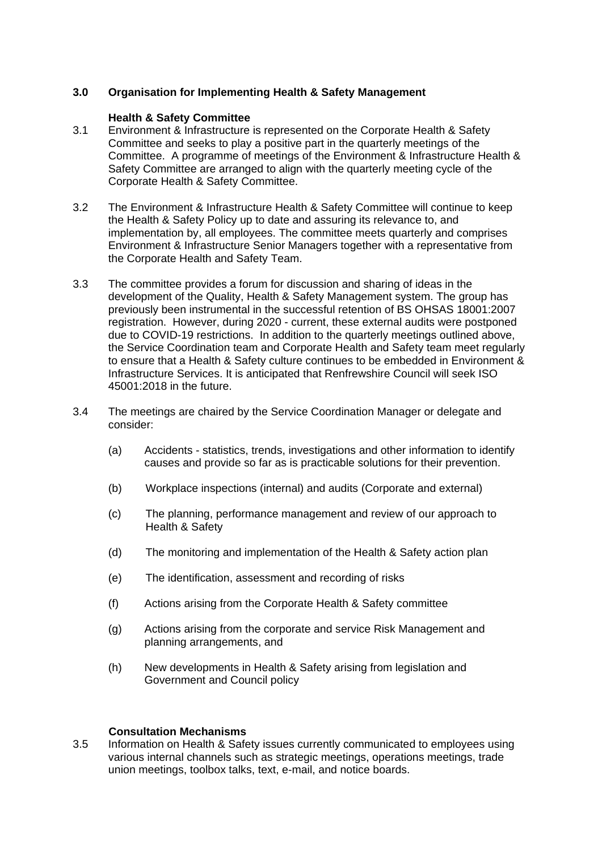# **3.0 Organisation for Implementing Health & Safety Management**

#### **Health & Safety Committee**

- 3.1 Environment & Infrastructure is represented on the Corporate Health & Safety Committee and seeks to play a positive part in the quarterly meetings of the Committee. A programme of meetings of the Environment & Infrastructure Health & Safety Committee are arranged to align with the quarterly meeting cycle of the Corporate Health & Safety Committee.
- 3.2 The Environment & Infrastructure Health & Safety Committee will continue to keep the Health & Safety Policy up to date and assuring its relevance to, and implementation by, all employees. The committee meets quarterly and comprises Environment & Infrastructure Senior Managers together with a representative from the Corporate Health and Safety Team.
- 3.3 The committee provides a forum for discussion and sharing of ideas in the development of the Quality, Health & Safety Management system. The group has previously been instrumental in the successful retention of BS OHSAS 18001:2007 registration. However, during 2020 - current, these external audits were postponed due to COVID-19 restrictions. In addition to the quarterly meetings outlined above, the Service Coordination team and Corporate Health and Safety team meet regularly to ensure that a Health & Safety culture continues to be embedded in Environment & Infrastructure Services. It is anticipated that Renfrewshire Council will seek ISO 45001:2018 in the future.
- 3.4 The meetings are chaired by the Service Coordination Manager or delegate and consider:
	- (a) Accidents statistics, trends, investigations and other information to identify causes and provide so far as is practicable solutions for their prevention.
	- (b) Workplace inspections (internal) and audits (Corporate and external)
	- (c) The planning, performance management and review of our approach to Health & Safety
	- (d) The monitoring and implementation of the Health & Safety action plan
	- (e) The identification, assessment and recording of risks
	- (f) Actions arising from the Corporate Health & Safety committee
	- (g) Actions arising from the corporate and service Risk Management and planning arrangements, and
	- (h) New developments in Health & Safety arising from legislation and Government and Council policy

#### **Consultation Mechanisms**

3.5 Information on Health & Safety issues currently communicated to employees using various internal channels such as strategic meetings, operations meetings, trade union meetings, toolbox talks, text, e-mail, and notice boards.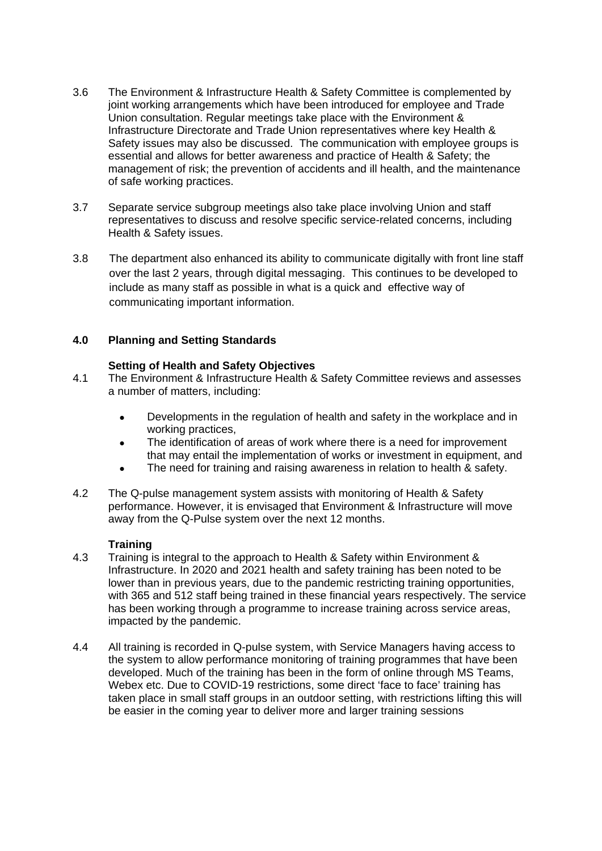- 3.6 The Environment & Infrastructure Health & Safety Committee is complemented by joint working arrangements which have been introduced for employee and Trade Union consultation. Regular meetings take place with the Environment & Infrastructure Directorate and Trade Union representatives where key Health & Safety issues may also be discussed. The communication with employee groups is essential and allows for better awareness and practice of Health & Safety; the management of risk; the prevention of accidents and ill health, and the maintenance of safe working practices.
- 3.7 Separate service subgroup meetings also take place involving Union and staff representatives to discuss and resolve specific service-related concerns, including Health & Safety issues.
- 3.8 The department also enhanced its ability to communicate digitally with front line staff over the last 2 years, through digital messaging. This continues to be developed to include as many staff as possible in what is a quick and effective way of communicating important information.

# **4.0 Planning and Setting Standards**

# **Setting of Health and Safety Objectives**

- 4.1 The Environment & Infrastructure Health & Safety Committee reviews and assesses a number of matters, including:
	- Developments in the regulation of health and safety in the workplace and in working practices,
	- The identification of areas of work where there is a need for improvement that may entail the implementation of works or investment in equipment, and
	- The need for training and raising awareness in relation to health & safety.
- 4.2 The Q-pulse management system assists with monitoring of Health & Safety performance. However, it is envisaged that Environment & Infrastructure will move away from the Q-Pulse system over the next 12 months.

# **Training**

- 4.3 Training is integral to the approach to Health & Safety within Environment & Infrastructure. In 2020 and 2021 health and safety training has been noted to be lower than in previous years, due to the pandemic restricting training opportunities, with 365 and 512 staff being trained in these financial years respectively. The service has been working through a programme to increase training across service areas, impacted by the pandemic.
- 4.4 All training is recorded in Q-pulse system, with Service Managers having access to the system to allow performance monitoring of training programmes that have been developed. Much of the training has been in the form of online through MS Teams, Webex etc. Due to COVID-19 restrictions, some direct 'face to face' training has taken place in small staff groups in an outdoor setting, with restrictions lifting this will be easier in the coming year to deliver more and larger training sessions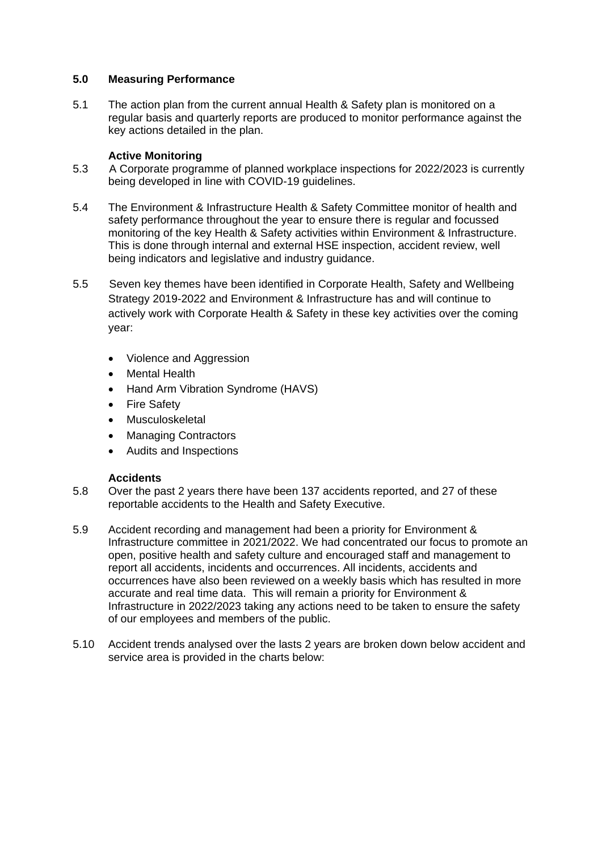## **5.0 Measuring Performance**

5.1 The action plan from the current annual Health & Safety plan is monitored on a regular basis and quarterly reports are produced to monitor performance against the key actions detailed in the plan.

# **Active Monitoring**

- 5.3 A Corporate programme of planned workplace inspections for 2022/2023 is currently being developed in line with COVID-19 guidelines.
- 5.4 The Environment & Infrastructure Health & Safety Committee monitor of health and safety performance throughout the year to ensure there is regular and focussed monitoring of the key Health & Safety activities within Environment & Infrastructure. This is done through internal and external HSE inspection, accident review, well being indicators and legislative and industry guidance.
- 5.5 Seven key themes have been identified in Corporate Health, Safety and Wellbeing Strategy 2019-2022 and Environment & Infrastructure has and will continue to actively work with Corporate Health & Safety in these key activities over the coming year:
	- Violence and Aggression
	- **Mental Health**
	- Hand Arm Vibration Syndrome (HAVS)
	- Fire Safety
	- Musculoskeletal
	- Managing Contractors
	- Audits and Inspections

#### **Accidents**

- 5.8 Over the past 2 years there have been 137 accidents reported, and 27 of these reportable accidents to the Health and Safety Executive.
- 5.9 Accident recording and management had been a priority for Environment & Infrastructure committee in 2021/2022. We had concentrated our focus to promote an open, positive health and safety culture and encouraged staff and management to report all accidents, incidents and occurrences. All incidents, accidents and occurrences have also been reviewed on a weekly basis which has resulted in more accurate and real time data. This will remain a priority for Environment & Infrastructure in 2022/2023 taking any actions need to be taken to ensure the safety of our employees and members of the public.
- 5.10 Accident trends analysed over the lasts 2 years are broken down below accident and service area is provided in the charts below: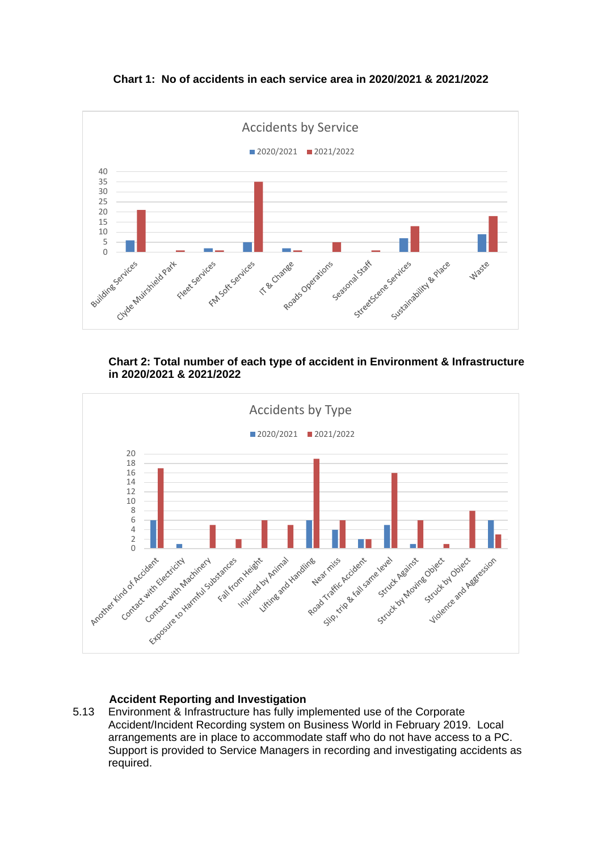**Chart 1: No of accidents in each service area in 2020/2021 & 2021/2022**



**Chart 2: Total number of each type of accident in Environment & Infrastructure in 2020/2021 & 2021/2022**



# **Accident Reporting and Investigation**

5.13 Environment & Infrastructure has fully implemented use of the Corporate Accident/Incident Recording system on Business World in February 2019. Local arrangements are in place to accommodate staff who do not have access to a PC. Support is provided to Service Managers in recording and investigating accidents as required.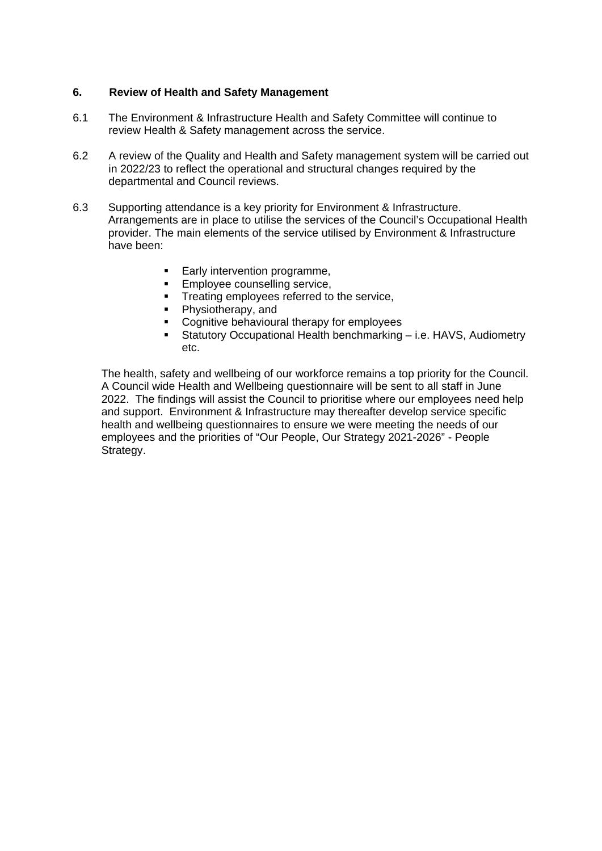# **6. Review of Health and Safety Management**

- 6.1 The Environment & Infrastructure Health and Safety Committee will continue to review Health & Safety management across the service.
- 6.2 A review of the Quality and Health and Safety management system will be carried out in 2022/23 to reflect the operational and structural changes required by the departmental and Council reviews.
- 6.3 Supporting attendance is a key priority for Environment & Infrastructure. Arrangements are in place to utilise the services of the Council's Occupational Health provider. The main elements of the service utilised by Environment & Infrastructure have been:
	- **Early intervention programme,**
	- **Employee counselling service.**
	- Treating employees referred to the service,
	- Physiotherapy, and
	- **Cognitive behavioural therapy for employees**<br>**Example:** Statutory Occunational Health benchmarking
	- Statutory Occupational Health benchmarking i.e. HAVS, Audiometry etc.

The health, safety and wellbeing of our workforce remains a top priority for the Council. A Council wide Health and Wellbeing questionnaire will be sent to all staff in June 2022. The findings will assist the Council to prioritise where our employees need help and support. Environment & Infrastructure may thereafter develop service specific health and wellbeing questionnaires to ensure we were meeting the needs of our employees and the priorities of "Our People, Our Strategy 2021-2026" - People Strategy.